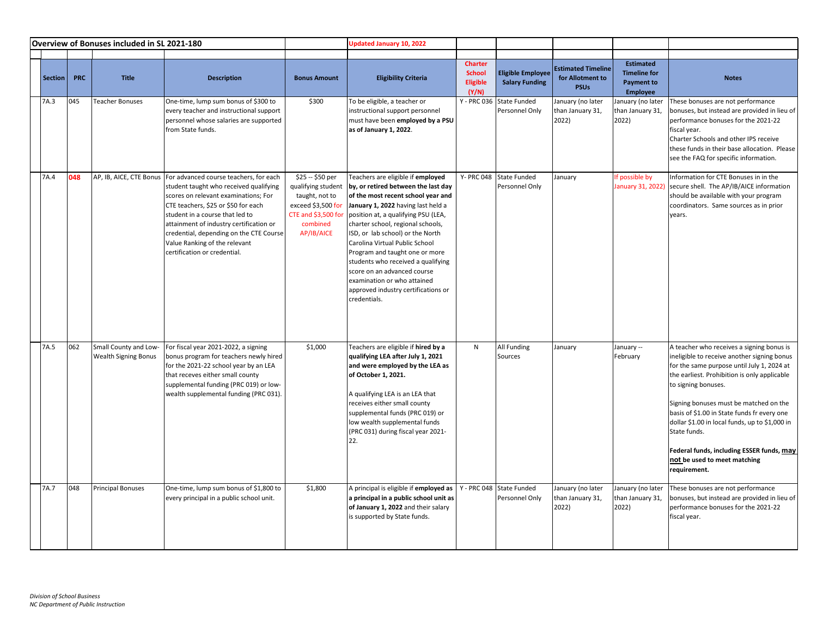| Overview of Bonuses included in SL 2021-180 |            |                                                      |                                                                                                                                                                                                                                                                                                                                                                                     |                                                                                                                                | <b>Updated January 10, 2022</b>                                                                                                                                                                                                                                                                                                                                                                                                                                                                     |                                                      |                                                   |                                                              |                                                                          |                                                                                                                                                                                                                                                                                                                                                                                                                                                                       |
|---------------------------------------------|------------|------------------------------------------------------|-------------------------------------------------------------------------------------------------------------------------------------------------------------------------------------------------------------------------------------------------------------------------------------------------------------------------------------------------------------------------------------|--------------------------------------------------------------------------------------------------------------------------------|-----------------------------------------------------------------------------------------------------------------------------------------------------------------------------------------------------------------------------------------------------------------------------------------------------------------------------------------------------------------------------------------------------------------------------------------------------------------------------------------------------|------------------------------------------------------|---------------------------------------------------|--------------------------------------------------------------|--------------------------------------------------------------------------|-----------------------------------------------------------------------------------------------------------------------------------------------------------------------------------------------------------------------------------------------------------------------------------------------------------------------------------------------------------------------------------------------------------------------------------------------------------------------|
| Section                                     | <b>PRC</b> | <b>Title</b>                                         | <b>Description</b>                                                                                                                                                                                                                                                                                                                                                                  | <b>Bonus Amount</b>                                                                                                            | <b>Eligibility Criteria</b>                                                                                                                                                                                                                                                                                                                                                                                                                                                                         | <b>Charter</b><br><b>School</b><br>Eligible<br>(Y/N) | <b>Eligible Employee</b><br><b>Salary Funding</b> | <b>Estimated Timeline</b><br>for Allotment to<br><b>PSUs</b> | <b>Estimated</b><br><b>Timeline for</b><br><b>Payment to</b><br>Employee | <b>Notes</b>                                                                                                                                                                                                                                                                                                                                                                                                                                                          |
| 7A.3                                        | 045        | <b>Teacher Bonuses</b>                               | One-time, lump sum bonus of \$300 to<br>every teacher and instructional support<br>personnel whose salaries are supported<br>from State funds.                                                                                                                                                                                                                                      | \$300                                                                                                                          | To be eligible, a teacher or<br>instructional support personnel<br>must have been employed by a PSU<br>as of January 1, 2022.                                                                                                                                                                                                                                                                                                                                                                       | Y - PRC 036                                          | State Funded<br>Personnel Only                    | January (no later<br>than January 31,<br>2022)               | January (no later<br>than January 31,<br>2022)                           | These bonuses are not performance<br>bonuses, but instead are provided in lieu of<br>performance bonuses for the 2021-22<br>fiscal year.<br>Charter Schools and other IPS receive<br>these funds in their base allocation. Please<br>see the FAQ for specific information.                                                                                                                                                                                            |
| 7A.4                                        | 048        |                                                      | AP, IB, AICE, CTE Bonus   For advanced course teachers, for each<br>student taught who received qualifying<br>scores on relevant examinations; For<br>CTE teachers, \$25 or \$50 for each<br>student in a course that led to<br>attainment of industry certification or<br>credential, depending on the CTE Course<br>Value Ranking of the relevant<br>certification or credential. | \$25 -- \$50 per<br>qualifying student<br>taught, not to<br>exceed \$3,500 for<br>CTE and \$3,500 fo<br>combined<br>AP/IB/AICE | Teachers are eligible if employed<br>by, or retired between the last day<br>of the most recent school year and<br>January 1, 2022 having last held a<br>position at, a qualifying PSU (LEA,<br>charter school, regional schools,<br>ISD, or lab school) or the North<br>Carolina Virtual Public School<br>Program and taught one or more<br>students who received a qualifying<br>score on an advanced course<br>examination or who attained<br>approved industry certifications or<br>credentials. | Y- PRC 048                                           | <b>State Funded</b><br>Personnel Only             | January                                                      | If possible by                                                           | Information for CTE Bonuses in in the<br>January 31, 2022) secure shell. The AP/IB/AICE information<br>should be available with your program<br>coordinators. Same sources as in prior<br>years.                                                                                                                                                                                                                                                                      |
| 7A.5                                        | 062        | Small County and Low-<br><b>Wealth Signing Bonus</b> | For fiscal year 2021-2022, a signing<br>bonus program for teachers newly hired<br>for the 2021-22 school year by an LEA<br>that receves either small county<br>supplemental funding (PRC 019) or low-<br>wealth supplemental funding (PRC 031).                                                                                                                                     | \$1,000                                                                                                                        | Teachers are eligible if hired by a<br>qualifying LEA after July 1, 2021<br>and were employed by the LEA as<br>of October 1, 2021.<br>A qualifying LEA is an LEA that<br>receives either small county<br>supplemental funds (PRC 019) or<br>low wealth supplemental funds<br>(PRC 031) during fiscal year 2021-<br>22.                                                                                                                                                                              | N                                                    | All Funding<br>Sources                            | January                                                      | January --<br>February                                                   | A teacher who receives a signing bonus is<br>ineligible to receive another signing bonus<br>for the same purpose until July 1, 2024 at<br>the earliest. Prohibition is only applicable<br>to signing bonuses.<br>Signing bonuses must be matched on the<br>basis of \$1.00 in State funds fr every one<br>dollar \$1.00 in local funds, up to \$1,000 in<br>State funds.<br>Federal funds, including ESSER funds, may<br>not be used to meet matching<br>requirement. |
| 7A.7                                        | 048        | <b>Principal Bonuses</b>                             | One-time, lump sum bonus of \$1,800 to<br>every principal in a public school unit.                                                                                                                                                                                                                                                                                                  | \$1,800                                                                                                                        | A principal is eligible if employed as<br>a principal in a public school unit as<br>of January 1, 2022 and their salary<br>is supported by State funds.                                                                                                                                                                                                                                                                                                                                             |                                                      | Y - PRC 048 State Funded<br>Personnel Only        | January (no later<br>than January 31,<br>2022)               | January (no later<br>than January 31,<br>2022)                           | These bonuses are not performance<br>bonuses, but instead are provided in lieu of<br>performance bonuses for the 2021-22<br>fiscal year.                                                                                                                                                                                                                                                                                                                              |